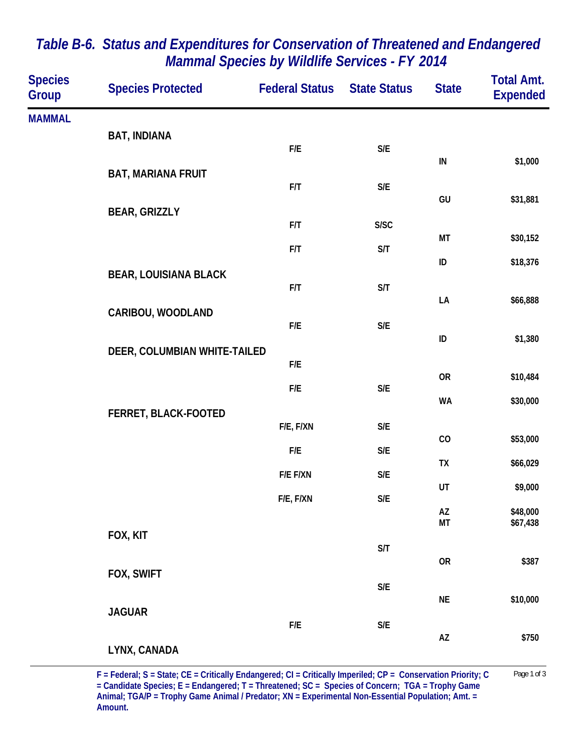| <b>Species</b><br>Group | <b>Species Protected</b>     | <b>Federal Status</b> | <b>State Status</b>     | <b>State</b> | <b>Total Amt.</b><br><b>Expended</b> |
|-------------------------|------------------------------|-----------------------|-------------------------|--------------|--------------------------------------|
| <b>MAMMAL</b>           |                              |                       |                         |              |                                      |
|                         | <b>BAT, INDIANA</b>          | F/E                   | $\mathsf{S}/\mathsf{E}$ |              |                                      |
|                         |                              |                       |                         | IN           | \$1,000                              |
|                         | <b>BAT, MARIANA FRUIT</b>    | F/T                   | $\mathsf{S}/\mathsf{E}$ |              |                                      |
|                         | <b>BEAR, GRIZZLY</b>         |                       |                         | GU           | \$31,881                             |
|                         |                              | F/T                   | S/SC                    | МT           | \$30,152                             |
|                         |                              | F/T                   | S/T                     | ID           | \$18,376                             |
|                         | <b>BEAR, LOUISIANA BLACK</b> |                       |                         |              |                                      |
|                         |                              | F/T                   | S/T                     | LA           | \$66,888                             |
|                         | CARIBOU, WOODLAND            | F/E                   | $\mathsf{S}/\mathsf{E}$ |              |                                      |
|                         | DEER, COLUMBIAN WHITE-TAILED |                       |                         | ID           | \$1,380                              |
|                         |                              | F/E                   |                         |              |                                      |
|                         |                              | F/E                   | $\mathsf{S}/\mathsf{E}$ | <b>OR</b>    | \$10,484                             |
|                         | FERRET, BLACK-FOOTED         |                       |                         | <b>WA</b>    | \$30,000                             |
|                         |                              | F/E, F/XN             | $\mathsf{S}/\mathsf{E}$ | CO           | \$53,000                             |
|                         |                              | F/E                   | S/E                     |              |                                      |
|                         |                              | F/E F/XN              | $\mathsf{S}/\mathsf{E}$ | TX           | \$66,029                             |
|                         |                              | F/E, F/XN             | $\mathsf{S}/\mathsf{E}$ | UT           | \$9,000                              |
|                         |                              |                       |                         | AZ<br>MT     | \$48,000<br>\$67,438                 |
|                         | FOX, KIT                     |                       | S/T                     |              |                                      |
|                         | FOX, SWIFT                   |                       |                         | <b>OR</b>    | \$387                                |
|                         |                              |                       | $\mathsf{S}/\mathsf{E}$ |              |                                      |
|                         | <b>JAGUAR</b>                |                       |                         | <b>NE</b>    | \$10,000                             |
|                         |                              | F/E                   | $\mathsf{S}/\mathsf{E}$ | AZ           | \$750                                |
|                         | LYNX, CANADA                 |                       |                         |              |                                      |

## *Table B-6. Status and Expenditures for Conservation of Threatened and Endangered Mammal Species by Wildlife Services - FY 2014*

**F = Federal; S = State; CE = Critically Endangered; CI = Critically Imperiled; CP = Conservation Priority; C** Page 1 of 3 **= Candidate Species; E = Endangered; T = Threatened; SC = Species of Concern; TGA = Trophy Game Animal; TGA/P = Trophy Game Animal / Predator; XN = Experimental Non-Essential Population; Amt. = Amount.**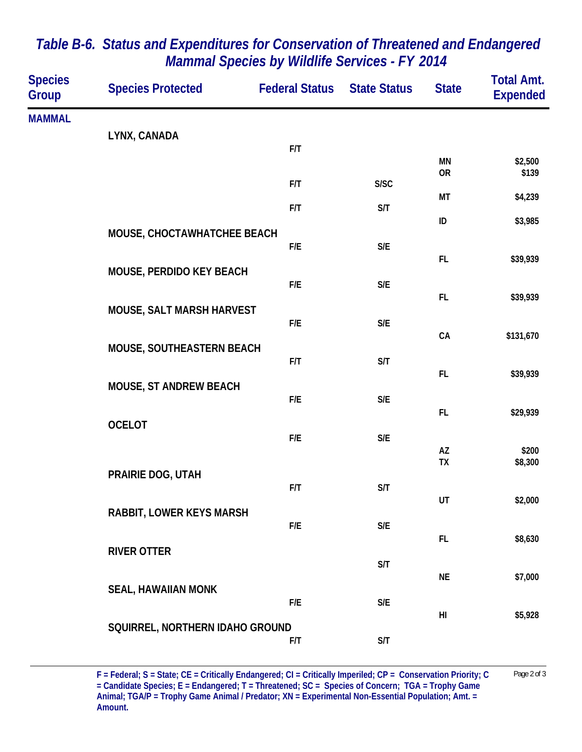| <b>Species</b><br><b>Group</b> | <b>Species Protected</b>        | <b>Federal Status</b> | <b>State Status</b>     | <b>State</b>    | <b>Total Amt.</b><br><b>Expended</b> |
|--------------------------------|---------------------------------|-----------------------|-------------------------|-----------------|--------------------------------------|
| <b>MAMMAL</b>                  |                                 |                       |                         |                 |                                      |
|                                | LYNX, CANADA                    | F/T                   |                         |                 |                                      |
|                                |                                 |                       |                         | MN<br><b>OR</b> | \$2,500<br>\$139                     |
|                                |                                 | F/T                   | S/SC                    | МT              | \$4,239                              |
|                                |                                 | F/T                   | S/T                     | $\sf ID$        | \$3,985                              |
|                                | MOUSE, CHOCTAWHATCHEE BEACH     |                       |                         |                 |                                      |
|                                |                                 | F/E                   | S/E                     | FL              | \$39,939                             |
|                                | MOUSE, PERDIDO KEY BEACH        | F/E                   | $\mathsf{S}/\mathsf{E}$ |                 |                                      |
|                                | MOUSE, SALT MARSH HARVEST       |                       |                         | <b>FL</b>       | \$39,939                             |
|                                |                                 | F/E                   | $\mathsf{S}/\mathsf{E}$ | CA              | \$131,670                            |
|                                | MOUSE, SOUTHEASTERN BEACH       |                       |                         |                 |                                      |
|                                |                                 | F/T                   | S/T                     | FL              | \$39,939                             |
|                                | MOUSE, ST ANDREW BEACH          | F/E                   | $\mathsf{S}/\mathsf{E}$ |                 |                                      |
|                                | <b>OCELOT</b>                   |                       |                         | <b>FL</b>       | \$29,939                             |
|                                |                                 | F/E                   | $\mathsf{S}/\mathsf{E}$ | AZ              | \$200                                |
|                                | PRAIRIE DOG, UTAH               |                       |                         | TX              | \$8,300                              |
|                                |                                 | F/T                   | S/T                     |                 |                                      |
|                                | <b>RABBIT, LOWER KEYS MARSH</b> |                       |                         | UT              | \$2,000                              |
|                                |                                 | F/E                   | S/E                     | FL              | \$8,630                              |
|                                | <b>RIVER OTTER</b>              |                       | S/T                     |                 |                                      |
|                                | <b>SEAL, HAWAIIAN MONK</b>      |                       |                         | <b>NE</b>       | \$7,000                              |
|                                |                                 | F/E                   | S/E                     |                 |                                      |
|                                | SQUIRREL, NORTHERN IDAHO GROUND |                       |                         | HI              | \$5,928                              |
|                                |                                 | F/T                   | S/T                     |                 |                                      |

## *Table B-6. Status and Expenditures for Conservation of Threatened and Endangered Mammal Species by Wildlife Services - FY 2014*

**F = Federal; S = State; CE = Critically Endangered; CI = Critically Imperiled; CP = Conservation Priority; C** Page 2 of 3 **= Candidate Species; E = Endangered; T = Threatened; SC = Species of Concern; TGA = Trophy Game Animal; TGA/P = Trophy Game Animal / Predator; XN = Experimental Non-Essential Population; Amt. = Amount.**